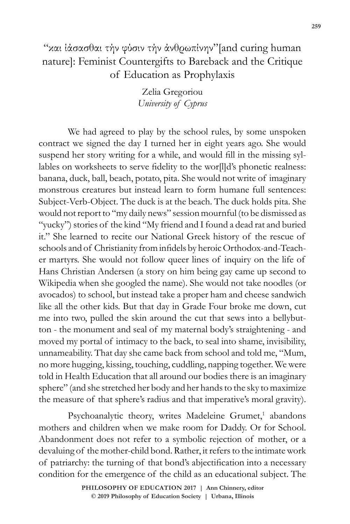Zelia Gregoriou *University of Cyprus*

We had agreed to play by the school rules, by some unspoken contract we signed the day I turned her in eight years ago. She would suspend her story writing for a while, and would fill in the missing syllables on worksheets to serve fidelity to the wor[l]d's phonetic realness: banana, duck, ball, beach, potato, pita. She would not write of imaginary monstrous creatures but instead learn to form humane full sentences: Subject-Verb-Object. The duck is at the beach. The duck holds pita. She would not report to "my daily news" session mournful (to be dismissed as "yucky") stories of the kind "My friend and I found a dead rat and buried it." She learned to recite our National Greek history of the rescue of schools and of Christianity from infidels by heroic Orthodox-and-Teacher martyrs. She would not follow queer lines of inquiry on the life of Hans Christian Andersen (a story on him being gay came up second to Wikipedia when she googled the name). She would not take noodles (or avocados) to school, but instead take a proper ham and cheese sandwich like all the other kids. But that day in Grade Four broke me down, cut me into two, pulled the skin around the cut that sews into a bellybutton - the monument and seal of my maternal body's straightening - and moved my portal of intimacy to the back, to seal into shame, invisibility, unnameability. That day she came back from school and told me, "Mum, no more hugging, kissing, touching, cuddling, napping together. We were told in Health Education that all around our bodies there is an imaginary sphere" (and she stretched her body and her hands to the sky to maximize the measure of that sphere's radius and that imperative's moral gravity).

Psychoanalytic theory, writes Madeleine Grumet,<sup>1</sup> abandons mothers and children when we make room for Daddy. Or for School. Abandonment does not refer to a symbolic rejection of mother, or a devaluing of the mother-child bond. Rather, it refers to the intimate work of patriarchy: the turning of that bond's abjectification into a necessary condition for the emergence of the child as an educational subject. The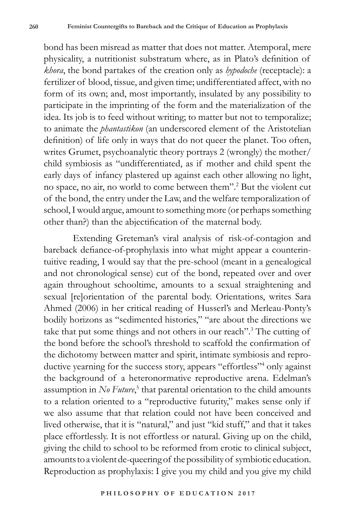bond has been misread as matter that does not matter. Atemporal, mere physicality, a nutritionist substratum where, as in Plato's definition of *khora*, the bond partakes of the creation only as *hypodoche* (receptacle): a fertilizer of blood, tissue, and given time; undifferentiated affect, with no form of its own; and, most importantly, insulated by any possibility to participate in the imprinting of the form and the materialization of the idea. Its job is to feed without writing; to matter but not to temporalize; to animate the *phantastikon* (an underscored element of the Aristotelian definition) of life only in ways that do not queer the planet. Too often, writes Grumet, psychoanalytic theory portrays 2 (wrongly) the mother/ child symbiosis as "undifferentiated, as if mother and child spent the early days of infancy plastered up against each other allowing no light, no space, no air, no world to come between them".2 But the violent cut of the bond, the entry under the Law, and the welfare temporalization of school, I would argue, amount to something more (or perhaps something other than?) than the abjectification of the maternal body.

Extending Greteman's viral analysis of risk-of-contagion and bareback defiance-of-prophylaxis into what might appear a counterintuitive reading, I would say that the pre-school (meant in a genealogical and not chronological sense) cut of the bond, repeated over and over again throughout schooltime, amounts to a sexual straightening and sexual [re]orientation of the parental body. Orientations, writes Sara Ahmed (2006) in her critical reading of Husserl's and Merleau-Ponty's bodily horizons as "sedimented histories," "are about the directions we take that put some things and not others in our reach".<sup>3</sup> The cutting of the bond before the school's threshold to scaffold the confirmation of the dichotomy between matter and spirit, intimate symbiosis and reproductive yearning for the success story, appears "effortless"<sup>4</sup> only against the background of a heteronormative reproductive arena. Edelman's assumption in *No Future*,<sup>5</sup> that parental orientation to the child amounts to a relation oriented to a "reproductive futurity," makes sense only if we also assume that that relation could not have been conceived and lived otherwise, that it is "natural," and just "kid stuff," and that it takes place effortlessly. It is not effortless or natural. Giving up on the child, giving the child to school to be reformed from erotic to clinical subject, amounts to a violent de-queering of the possibility of symbiotic education. Reproduction as prophylaxis: I give you my child and you give my child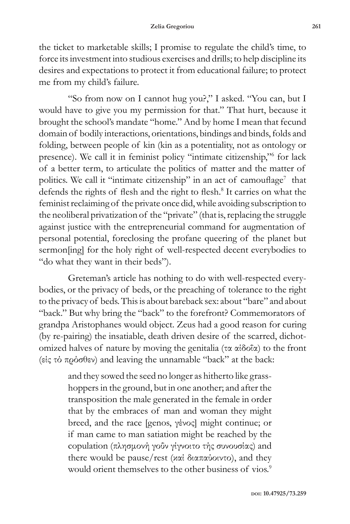the ticket to marketable skills; I promise to regulate the child's time, to force its investment into studious exercises and drills; to help discipline its desires and expectations to protect it from educational failure; to protect me from my child's failure.

"So from now on I cannot hug you?," I asked. "You can, but I would have to give you my permission for that." That hurt, because it brought the school's mandate "home." And by home I mean that fecund domain of bodily interactions, orientations, bindings and binds, folds and folding, between people of kin (kin as a potentiality, not as ontology or presence). We call it in feminist policy "intimate citizenship," for lack of a better term, to articulate the politics of matter and the matter of politics. We call it "intimate citizenship" in an act of camouflage<sup>7</sup> that defends the rights of flesh and the right to flesh.<sup>8</sup> It carries on what the feminist reclaiming of the private once did, while avoiding subscription to the neoliberal privatization of the "private" (that is, replacing the struggle against justice with the entrepreneurial command for augmentation of personal potential, foreclosing the profane queering of the planet but sermon[ing] for the holy right of well-respected decent everybodies to "do what they want in their beds").

Greteman's article has nothing to do with well-respected everybodies, or the privacy of beds, or the preaching of tolerance to the right to the privacy of beds. This is about bareback sex: about "bare" and about "back." But why bring the "back" to the forefront? Commemorators of grandpa Aristophanes would object. Zeus had a good reason for curing (by re-pairing) the insatiable, death driven desire of the scarred, dichotomized halves of nature by moving the genitalia (τα αίδοΐα) to the front (είς τό πρόσθεν) and leaving the unnamable "back" at the back:

> and they sowed the seed no longer as hitherto like grasshoppers in the ground, but in one another; and after the transposition the male generated in the female in order that by the embraces of man and woman they might breed, and the race [genos, γένος] might continue; or if man came to man satiation might be reached by the copulation (πλησμονή γοΰν γίγνοιτο τής συνουσίας) and there would be pause/rest (καί διαπαύοιντο), and they would orient themselves to the other business of vios.<sup>9</sup>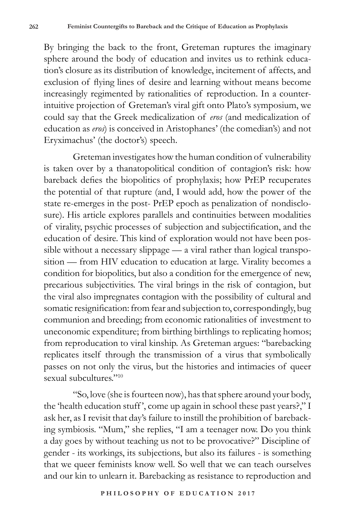By bringing the back to the front, Greteman ruptures the imaginary sphere around the body of education and invites us to rethink education's closure as its distribution of knowledge, incitement of affects, and exclusion of flying lines of desire and learning without means become increasingly regimented by rationalities of reproduction. In a counterintuitive projection of Greteman's viral gift onto Plato's symposium, we could say that the Greek medicalization of *eros* (and medicalization of education as *eros*) is conceived in Aristophanes' (the comedian's) and not Eryximachus' (the doctor's) speech.

Greteman investigates how the human condition of vulnerability is taken over by a thanatopolitical condition of contagion's risk: how bareback defies the biopolitics of prophylaxis; how PrEP recuperates the potential of that rupture (and, I would add, how the power of the state re-emerges in the post- PrEP epoch as penalization of nondisclosure). His article explores parallels and continuities between modalities of virality, psychic processes of subjection and subjectification, and the education of desire. This kind of exploration would not have been possible without a necessary slippage — a viral rather than logical transposition — from HIV education to education at large. Virality becomes a condition for biopolitics, but also a condition for the emergence of new, precarious subjectivities. The viral brings in the risk of contagion, but the viral also impregnates contagion with the possibility of cultural and somatic resignification: from fear and subjection to, correspondingly, bug communion and breeding; from economic rationalities of investment to uneconomic expenditure; from birthing birthlings to replicating homos; from reproducation to viral kinship. As Greteman argues: "barebacking replicates itself through the transmission of a virus that symbolically passes on not only the virus, but the histories and intimacies of queer sexual subcultures."10

"So, love (she is fourteen now), has that sphere around your body, the 'health education stuff ', come up again in school these past years?," I ask her, as I revisit that day's failure to instill the prohibition of barebacking symbiosis. "Mum," she replies, "I am a teenager now. Do you think a day goes by without teaching us not to be provocative?" Discipline of gender - its workings, its subjections, but also its failures - is something that we queer feminists know well. So well that we can teach ourselves and our kin to unlearn it. Barebacking as resistance to reproduction and